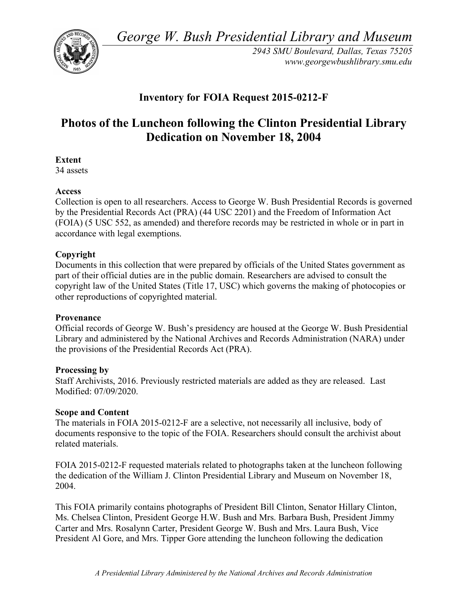*George W. Bush Presidential Library and Museum* 



*2943 SMU Boulevard, Dallas, Texas 75205 <www.georgewbushlibrary.smu.edu>* 

## **Inventory for FOIA Request 2015-0212-F**

# **Photos of the Luncheon following the Clinton Presidential Library Dedication on November 18, 2004**

**Extent** 

34 assets

### **Access**

 Collection is open to all researchers. Access to George W. Bush Presidential Records is governed by the Presidential Records Act (PRA) (44 USC 2201) and the Freedom of Information Act (FOIA) (5 USC 552, as amended) and therefore records may be restricted in whole or in part in accordance with legal exemptions.

#### **Copyright**

 Documents in this collection that were prepared by officials of the United States government as part of their official duties are in the public domain. Researchers are advised to consult the copyright law of the United States (Title 17, USC) which governs the making of photocopies or other reproductions of copyrighted material.

#### **Provenance**

 Official records of George W. Bush's presidency are housed at the George W. Bush Presidential Library and administered by the National Archives and Records Administration (NARA) under the provisions of the Presidential Records Act (PRA).

#### **Processing by**

 Staff Archivists, 2016. Previously restricted materials are added as they are released. Last Modified: 07/09/2020.

#### **Scope and Content**

 The materials in FOIA 2015-0212-F are a selective, not necessarily all inclusive, body of documents responsive to the topic of the FOIA. Researchers should consult the archivist about related materials.

 FOIA 2015-0212-F requested materials related to photographs taken at the luncheon following the dedication of the William J. Clinton Presidential Library and Museum on November 18, 2004.

2004.<br>This FOIA primarily contains photographs of President Bill Clinton, Senator Hillary Clinton, Ms. Chelsea Clinton, President George H.W. Bush and Mrs. Barbara Bush, President Jimmy Carter and Mrs. Rosalynn Carter, President George W. Bush and Mrs. Laura Bush, Vice President Al Gore, and Mrs. Tipper Gore attending the luncheon following the dedication